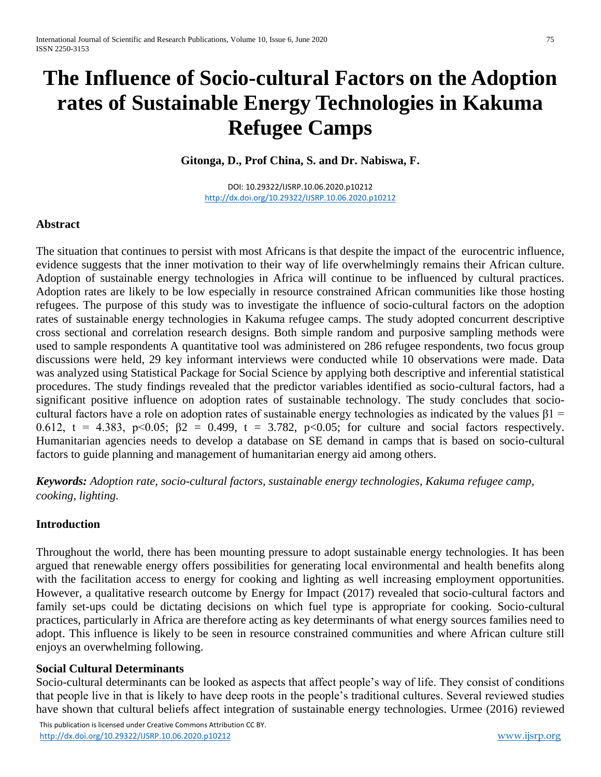# **The Influence of Socio-cultural Factors on the Adoption rates of Sustainable Energy Technologies in Kakuma Refugee Camps**

**Gitonga, D., Prof China, S. and Dr. Nabiswa, F.**

DOI: 10.29322/IJSRP.10.06.2020.p10212 <http://dx.doi.org/10.29322/IJSRP.10.06.2020.p10212>

#### **Abstract**

The situation that continues to persist with most Africans is that despite the impact of the eurocentric influence, evidence suggests that the inner motivation to their way of life overwhelmingly remains their African culture. Adoption of sustainable energy technologies in Africa will continue to be influenced by cultural practices. Adoption rates are likely to be low especially in resource constrained African communities like those hosting refugees. The purpose of this study was to investigate the influence of socio-cultural factors on the adoption rates of sustainable energy technologies in Kakuma refugee camps. The study adopted concurrent descriptive cross sectional and correlation research designs. Both simple random and purposive sampling methods were used to sample respondents A quantitative tool was administered on 286 refugee respondents, two focus group discussions were held, 29 key informant interviews were conducted while 10 observations were made. Data was analyzed using Statistical Package for Social Science by applying both descriptive and inferential statistical procedures. The study findings revealed that the predictor variables identified as socio-cultural factors, had a significant positive influence on adoption rates of sustainable technology. The study concludes that sociocultural factors have a role on adoption rates of sustainable energy technologies as indicated by the values  $\beta$ 1 = 0.612, t = 4.383, p<0.05;  $\beta$ 2 = 0.499, t = 3.782, p<0.05; for culture and social factors respectively. Humanitarian agencies needs to develop a database on SE demand in camps that is based on socio-cultural factors to guide planning and management of humanitarian energy aid among others.

*Keywords: Adoption rate, socio-cultural factors, sustainable energy technologies, Kakuma refugee camp, cooking, lighting.* 

## **Introduction**

Throughout the world, there has been mounting pressure to adopt sustainable energy technologies. It has been argued that renewable energy offers possibilities for generating local environmental and health benefits along with the facilitation access to energy for cooking and lighting as well increasing employment opportunities. However, a qualitative research outcome by Energy for Impact (2017) revealed that socio-cultural factors and family set-ups could be dictating decisions on which fuel type is appropriate for cooking. Socio-cultural practices, particularly in Africa are therefore acting as key determinants of what energy sources families need to adopt. This influence is likely to be seen in resource constrained communities and where African culture still enjoys an overwhelming following.

#### **Social Cultural Determinants**

Socio-cultural determinants can be looked as aspects that affect people's way of life. They consist of conditions that people live in that is likely to have deep roots in the people's traditional cultures. Several reviewed studies have shown that cultural beliefs affect integration of sustainable energy technologies. Urmee (2016) reviewed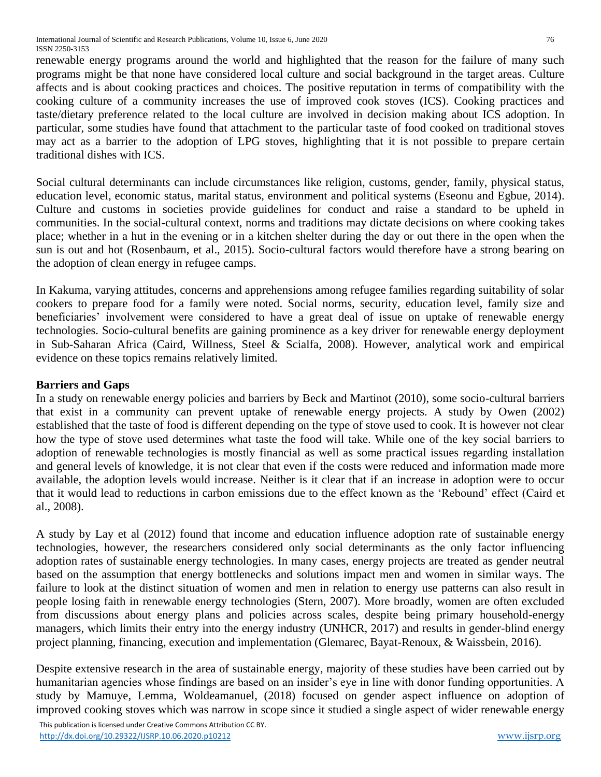International Journal of Scientific and Research Publications, Volume 10, Issue 6, June 2020 76 ISSN 2250-3153

renewable energy programs around the world and highlighted that the reason for the failure of many such programs might be that none have considered local culture and social background in the target areas. Culture affects and is about cooking practices and choices. The positive reputation in terms of compatibility with the cooking culture of a community increases the use of improved cook stoves (ICS). Cooking practices and taste/dietary preference related to the local culture are involved in decision making about ICS adoption. In particular, some studies have found that attachment to the particular taste of food cooked on traditional stoves may act as a barrier to the adoption of LPG stoves, highlighting that it is not possible to prepare certain traditional dishes with ICS.

Social cultural determinants can include circumstances like religion, customs, gender, family, physical status, education level, economic status, marital status, environment and political systems (Eseonu and Egbue, 2014). Culture and customs in societies provide guidelines for conduct and raise a standard to be upheld in communities. In the social-cultural context, norms and traditions may dictate decisions on where cooking takes place; whether in a hut in the evening or in a kitchen shelter during the day or out there in the open when the sun is out and hot (Rosenbaum, et al., 2015). Socio-cultural factors would therefore have a strong bearing on the adoption of clean energy in refugee camps.

In Kakuma, varying attitudes, concerns and apprehensions among refugee families regarding suitability of solar cookers to prepare food for a family were noted. Social norms, security, education level, family size and beneficiaries' involvement were considered to have a great deal of issue on uptake of renewable energy technologies. Socio-cultural benefits are gaining prominence as a key driver for renewable energy deployment in Sub-Saharan Africa (Caird, Willness, Steel & Scialfa, 2008). However, analytical work and empirical evidence on these topics remains relatively limited.

## **Barriers and Gaps**

In a study on renewable energy policies and barriers by Beck and Martinot (2010), some socio-cultural barriers that exist in a community can prevent uptake of renewable energy projects. A study by Owen (2002) established that the taste of food is different depending on the type of stove used to cook. It is however not clear how the type of stove used determines what taste the food will take. While one of the key social barriers to adoption of renewable technologies is mostly financial as well as some practical issues regarding installation and general levels of knowledge, it is not clear that even if the costs were reduced and information made more available, the adoption levels would increase. Neither is it clear that if an increase in adoption were to occur that it would lead to reductions in carbon emissions due to the effect known as the 'Rebound' effect (Caird et al., 2008).

A study by Lay et al (2012) found that income and education influence adoption rate of sustainable energy technologies, however, the researchers considered only social determinants as the only factor influencing adoption rates of sustainable energy technologies. In many cases, energy projects are treated as gender neutral based on the assumption that energy bottlenecks and solutions impact men and women in similar ways. The failure to look at the distinct situation of women and men in relation to energy use patterns can also result in people losing faith in renewable energy technologies (Stern, 2007). More broadly, women are often excluded from discussions about energy plans and policies across scales, despite being primary household-energy managers, which limits their entry into the energy industry (UNHCR, 2017) and results in gender-blind energy project planning, financing, execution and implementation (Glemarec, Bayat-Renoux, & Waissbein, 2016).

Despite extensive research in the area of sustainable energy, majority of these studies have been carried out by humanitarian agencies whose findings are based on an insider's eye in line with donor funding opportunities. A study by Mamuye, Lemma, Woldeamanuel, (2018) focused on gender aspect influence on adoption of improved cooking stoves which was narrow in scope since it studied a single aspect of wider renewable energy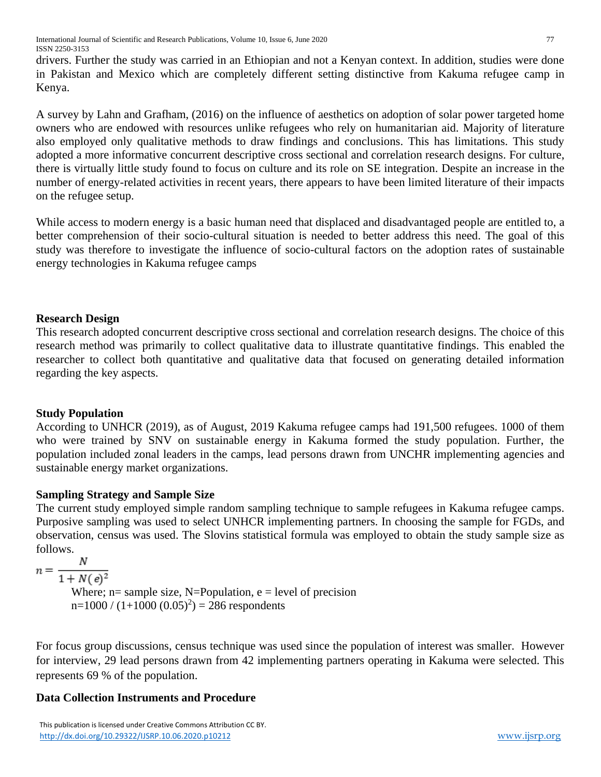International Journal of Scientific and Research Publications, Volume 10, Issue 6, June 2020 77 ISSN 2250-3153

drivers. Further the study was carried in an Ethiopian and not a Kenyan context. In addition, studies were done in Pakistan and Mexico which are completely different setting distinctive from Kakuma refugee camp in Kenya.

A survey by Lahn and Grafham, (2016) on the influence of aesthetics on adoption of solar power targeted home owners who are endowed with resources unlike refugees who rely on humanitarian aid. Majority of literature also employed only qualitative methods to draw findings and conclusions. This has limitations. This study adopted a more informative concurrent descriptive cross sectional and correlation research designs. For culture, there is virtually little study found to focus on culture and its role on SE integration. Despite an increase in the number of energy-related activities in recent years, there appears to have been limited literature of their impacts on the refugee setup.

While access to modern energy is a basic human need that displaced and disadvantaged people are entitled to, a better comprehension of their socio-cultural situation is needed to better address this need. The goal of this study was therefore to investigate the influence of socio-cultural factors on the adoption rates of sustainable energy technologies in Kakuma refugee camps

### **Research Design**

This research adopted concurrent descriptive cross sectional and correlation research designs. The choice of this research method was primarily to collect qualitative data to illustrate quantitative findings. This enabled the researcher to collect both quantitative and qualitative data that focused on generating detailed information regarding the key aspects.

#### **Study Population**

According to UNHCR (2019), as of August, 2019 Kakuma refugee camps had 191,500 refugees. 1000 of them who were trained by SNV on sustainable energy in Kakuma formed the study population. Further, the population included zonal leaders in the camps, lead persons drawn from UNCHR implementing agencies and sustainable energy market organizations.

## **Sampling Strategy and Sample Size**

The current study employed simple random sampling technique to sample refugees in Kakuma refugee camps. Purposive sampling was used to select UNHCR implementing partners. In choosing the sample for FGDs, and observation, census was used. The Slovins statistical formula was employed to obtain the study sample size as follows.

 $\boldsymbol{N}$  $n = -$ 

 $\overline{1+N(e)^2}$ 

Where;  $n=$  sample size, N=Population,  $e =$  level of precision  $n=1000 / (1+1000 (0.05)^{2}) = 286$  respondents

For focus group discussions, census technique was used since the population of interest was smaller. However for interview, 29 lead persons drawn from 42 implementing partners operating in Kakuma were selected. This represents 69 % of the population.

## **Data Collection Instruments and Procedure**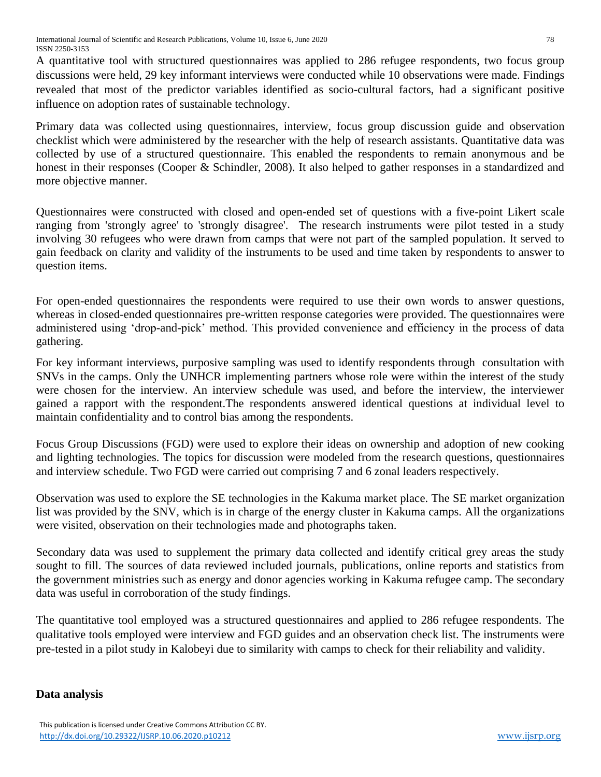A quantitative tool with structured questionnaires was applied to 286 refugee respondents, two focus group discussions were held, 29 key informant interviews were conducted while 10 observations were made. Findings revealed that most of the predictor variables identified as socio-cultural factors, had a significant positive influence on adoption rates of sustainable technology.

Primary data was collected using questionnaires, interview, focus group discussion guide and observation checklist which were administered by the researcher with the help of research assistants. Quantitative data was collected by use of a structured questionnaire. This enabled the respondents to remain anonymous and be honest in their responses (Cooper & Schindler, 2008). It also helped to gather responses in a standardized and more objective manner.

Questionnaires were constructed with closed and open-ended set of questions with a five-point Likert scale ranging from 'strongly agree' to 'strongly disagree'. The research instruments were pilot tested in a study involving 30 refugees who were drawn from camps that were not part of the sampled population. It served to gain feedback on clarity and validity of the instruments to be used and time taken by respondents to answer to question items.

For open-ended questionnaires the respondents were required to use their own words to answer questions, whereas in closed-ended questionnaires pre-written response categories were provided. The questionnaires were administered using 'drop-and-pick' method. This provided convenience and efficiency in the process of data gathering.

For key informant interviews, purposive sampling was used to identify respondents through consultation with SNVs in the camps. Only the UNHCR implementing partners whose role were within the interest of the study were chosen for the interview. An interview schedule was used, and before the interview, the interviewer gained a rapport with the respondent.The respondents answered identical questions at individual level to maintain confidentiality and to control bias among the respondents.

Focus Group Discussions (FGD) were used to explore their ideas on ownership and adoption of new cooking and lighting technologies. The topics for discussion were modeled from the research questions, questionnaires and interview schedule. Two FGD were carried out comprising 7 and 6 zonal leaders respectively.

Observation was used to explore the SE technologies in the Kakuma market place. The SE market organization list was provided by the SNV, which is in charge of the energy cluster in Kakuma camps. All the organizations were visited, observation on their technologies made and photographs taken.

Secondary data was used to supplement the primary data collected and identify critical grey areas the study sought to fill. The sources of data reviewed included journals, publications, online reports and statistics from the government ministries such as energy and donor agencies working in Kakuma refugee camp. The secondary data was useful in corroboration of the study findings.

The quantitative tool employed was a structured questionnaires and applied to 286 refugee respondents. The qualitative tools employed were interview and FGD guides and an observation check list. The instruments were pre-tested in a pilot study in Kalobeyi due to similarity with camps to check for their reliability and validity.

## **Data analysis**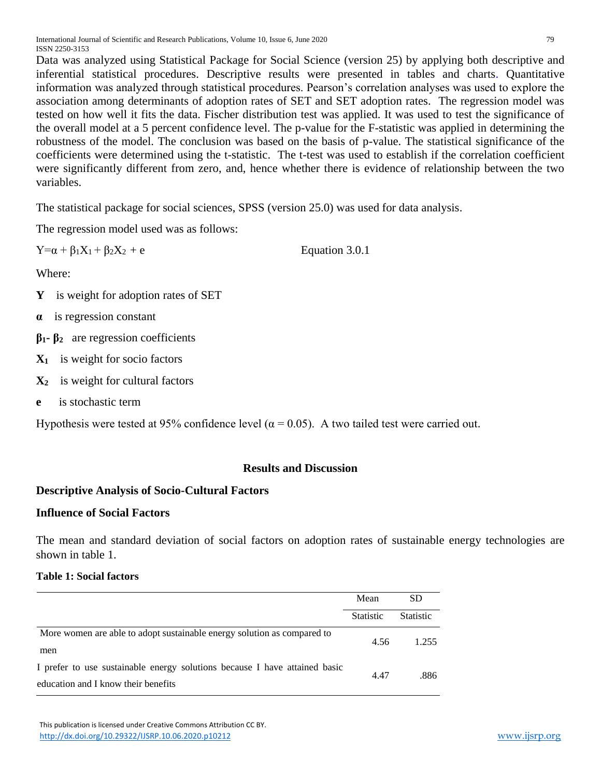Data was analyzed using Statistical Package for Social Science (version 25) by applying both descriptive and inferential statistical procedures. Descriptive results were presented in tables and charts. Quantitative information was analyzed through statistical procedures. Pearson's correlation analyses was used to explore the association among determinants of adoption rates of SET and SET adoption rates. The regression model was tested on how well it fits the data. Fischer distribution test was applied. It was used to test the significance of the overall model at a 5 percent confidence level. The p-value for the F-statistic was applied in determining the robustness of the model. The conclusion was based on the basis of p-value. The statistical significance of the coefficients were determined using the t-statistic. The t-test was used to establish if the correlation coefficient were significantly different from zero, and, hence whether there is evidence of relationship between the two variables.

The statistical package for social sciences, SPSS (version 25.0) was used for data analysis.

The regression model used was as follows:

 $Y = \alpha + \beta_1 X_1 + \beta_2 X_2 + e$  Equation 3.0.1

Where:

- **Y** is weight for adoption rates of SET
- **α** is regression constant
- **β1- β2** are regression coefficients
- **X1** is weight for socio factors
- **X2** is weight for cultural factors
- **e** is stochastic term

Hypothesis were tested at 95% confidence level ( $\alpha$  = 0.05). A two tailed test were carried out.

## **Results and Discussion**

## **Descriptive Analysis of Socio-Cultural Factors**

## **Influence of Social Factors**

The mean and standard deviation of social factors on adoption rates of sustainable energy technologies are shown in table 1.

## **Table 1: Social factors**

|                                                                            | Mean             | SD               |
|----------------------------------------------------------------------------|------------------|------------------|
|                                                                            | <b>Statistic</b> | <b>Statistic</b> |
| More women are able to adopt sustainable energy solution as compared to    | 4.56             | 1.255            |
| men                                                                        |                  |                  |
| I prefer to use sustainable energy solutions because I have attained basic | 4.47             | .886             |
| education and I know their benefits                                        |                  |                  |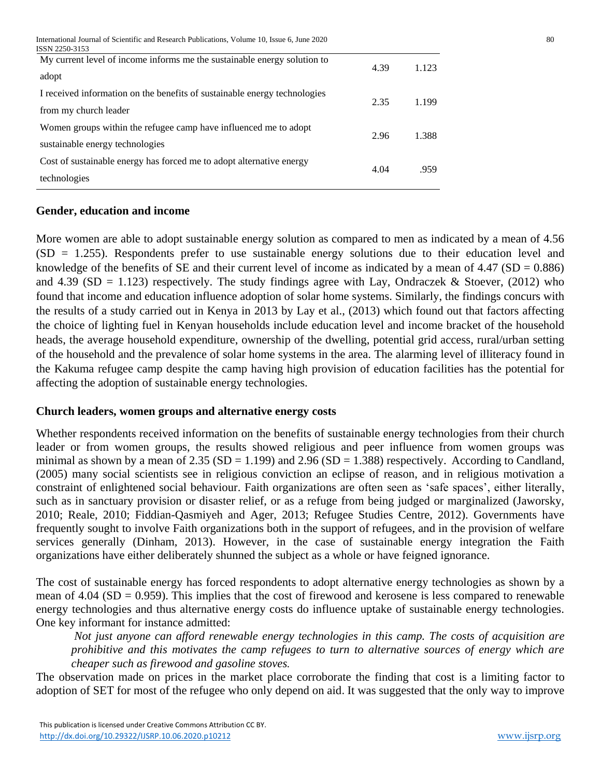International Journal of Scientific and Research Publications, Volume 10, Issue 6, June 2020 80

| ISSN 2250-3153                                                            |      |       |
|---------------------------------------------------------------------------|------|-------|
| My current level of income informs me the sustainable energy solution to  | 4.39 | 1.123 |
| adopt                                                                     |      |       |
| I received information on the benefits of sustainable energy technologies | 2.35 | 1.199 |
| from my church leader                                                     |      |       |
| Women groups within the refugee camp have influenced me to adopt          | 2.96 | 1.388 |
| sustainable energy technologies                                           |      |       |
| Cost of sustainable energy has forced me to adopt alternative energy      |      |       |
| technologies                                                              | 4.04 | .959  |
|                                                                           |      |       |

#### **Gender, education and income**

More women are able to adopt sustainable energy solution as compared to men as indicated by a mean of 4.56  $(SD = 1.255)$ . Respondents prefer to use sustainable energy solutions due to their education level and knowledge of the benefits of SE and their current level of income as indicated by a mean of  $4.47$  (SD = 0.886) and 4.39 (SD = 1.123) respectively. The study findings agree with Lay, Ondraczek & Stoever, (2012) who found that income and education influence adoption of solar home systems. Similarly, the findings concurs with the results of a study carried out in Kenya in 2013 by Lay et al., (2013) which found out that factors affecting the choice of lighting fuel in Kenyan households include education level and income bracket of the household heads, the average household expenditure, ownership of the dwelling, potential grid access, rural/urban setting of the household and the prevalence of solar home systems in the area. The alarming level of illiteracy found in the Kakuma refugee camp despite the camp having high provision of education facilities has the potential for affecting the adoption of sustainable energy technologies.

#### **Church leaders, women groups and alternative energy costs**

Whether respondents received information on the benefits of sustainable energy technologies from their church leader or from women groups, the results showed religious and peer influence from women groups was minimal as shown by a mean of  $2.35$  (SD = 1.199) and  $2.96$  (SD = 1.388) respectively. According to Candland, (2005) many social scientists see in religious conviction an eclipse of reason, and in religious motivation a constraint of enlightened social behaviour. Faith organizations are often seen as 'safe spaces', either literally, such as in sanctuary provision or disaster relief, or as a refuge from being judged or marginalized (Jaworsky, 2010; Reale, 2010; Fiddian-Qasmiyeh and Ager, 2013; Refugee Studies Centre, 2012). Governments have frequently sought to involve Faith organizations both in the support of refugees, and in the provision of welfare services generally (Dinham, 2013). However, in the case of sustainable energy integration the Faith organizations have either deliberately shunned the subject as a whole or have feigned ignorance.

The cost of sustainable energy has forced respondents to adopt alternative energy technologies as shown by a mean of 4.04 (SD = 0.959). This implies that the cost of firewood and kerosene is less compared to renewable energy technologies and thus alternative energy costs do influence uptake of sustainable energy technologies. One key informant for instance admitted:

*Not just anyone can afford renewable energy technologies in this camp. The costs of acquisition are prohibitive and this motivates the camp refugees to turn to alternative sources of energy which are cheaper such as firewood and gasoline stoves.* 

The observation made on prices in the market place corroborate the finding that cost is a limiting factor to adoption of SET for most of the refugee who only depend on aid. It was suggested that the only way to improve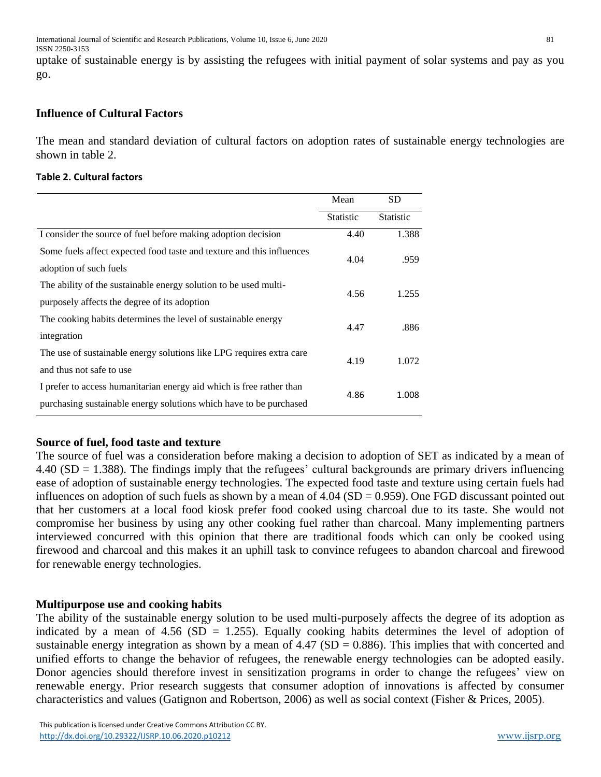uptake of sustainable energy is by assisting the refugees with initial payment of solar systems and pay as you go.

## **Influence of Cultural Factors**

The mean and standard deviation of cultural factors on adoption rates of sustainable energy technologies are shown in table 2.

#### **Table 2. Cultural factors**

|                                                                       | Mean             | SD               |
|-----------------------------------------------------------------------|------------------|------------------|
|                                                                       | <b>Statistic</b> | <b>Statistic</b> |
| I consider the source of fuel before making adoption decision         | 4.40             | 1.388            |
| Some fuels affect expected food taste and texture and this influences | 4.04             | .959             |
| adoption of such fuels                                                |                  |                  |
| The ability of the sustainable energy solution to be used multi-      |                  | 1.255            |
| purposely affects the degree of its adoption                          | 4.56             |                  |
| The cooking habits determines the level of sustainable energy         |                  |                  |
| integration                                                           | 4.47             | .886             |
| The use of sustainable energy solutions like LPG requires extra care  |                  |                  |
| and thus not safe to use                                              | 4.19             | 1.072            |
| I prefer to access humanitarian energy aid which is free rather than  |                  |                  |
| purchasing sustainable energy solutions which have to be purchased    | 4.86             | 1.008            |

## **Source of fuel, food taste and texture**

The source of fuel was a consideration before making a decision to adoption of SET as indicated by a mean of 4.40 (SD = 1.388). The findings imply that the refugees' cultural backgrounds are primary drivers influencing ease of adoption of sustainable energy technologies. The expected food taste and texture using certain fuels had influences on adoption of such fuels as shown by a mean of  $4.04$  (SD = 0.959). One FGD discussant pointed out that her customers at a local food kiosk prefer food cooked using charcoal due to its taste. She would not compromise her business by using any other cooking fuel rather than charcoal. Many implementing partners interviewed concurred with this opinion that there are traditional foods which can only be cooked using firewood and charcoal and this makes it an uphill task to convince refugees to abandon charcoal and firewood for renewable energy technologies.

## **Multipurpose use and cooking habits**

The ability of the sustainable energy solution to be used multi-purposely affects the degree of its adoption as indicated by a mean of 4.56 (SD = 1.255). Equally cooking habits determines the level of adoption of sustainable energy integration as shown by a mean of  $4.47$  (SD = 0.886). This implies that with concerted and unified efforts to change the behavior of refugees, the renewable energy technologies can be adopted easily. Donor agencies should therefore invest in sensitization programs in order to change the refugees' view on renewable energy. Prior research suggests that consumer adoption of innovations is affected by consumer characteristics and values (Gatignon and Robertson, 2006) as well as social context (Fisher & Prices, 2005).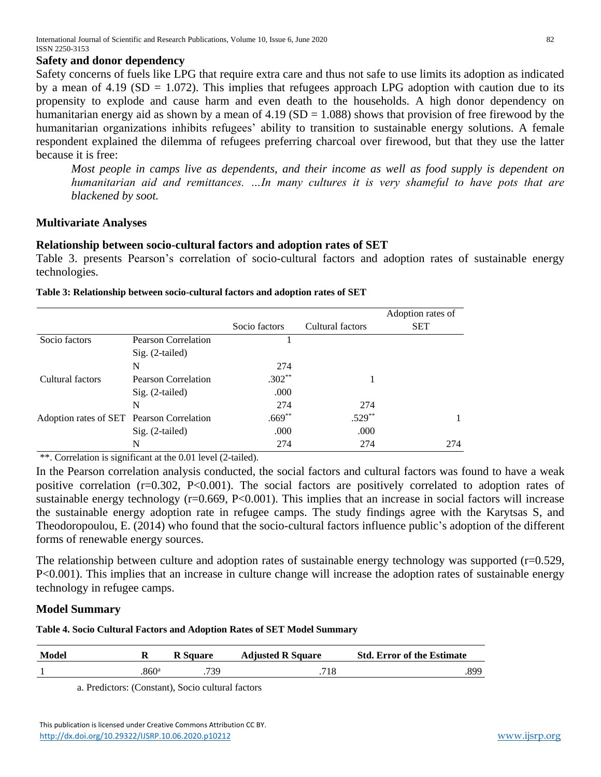#### **Safety and donor dependency**

Safety concerns of fuels like LPG that require extra care and thus not safe to use limits its adoption as indicated by a mean of 4.19 ( $SD = 1.072$ ). This implies that refugees approach LPG adoption with caution due to its propensity to explode and cause harm and even death to the households. A high donor dependency on humanitarian energy aid as shown by a mean of  $4.19$  (SD = 1.088) shows that provision of free firewood by the humanitarian organizations inhibits refugees' ability to transition to sustainable energy solutions. A female respondent explained the dilemma of refugees preferring charcoal over firewood, but that they use the latter because it is free:

*Most people in camps live as dependents, and their income as well as food supply is dependent on humanitarian aid and remittances. …In many cultures it is very shameful to have pots that are blackened by soot.*

#### **Multivariate Analyses**

#### **Relationship between socio-cultural factors and adoption rates of SET**

Table 3. presents Pearson's correlation of socio-cultural factors and adoption rates of sustainable energy technologies.

|                                           |                            |               |                  | Adoption rates of |
|-------------------------------------------|----------------------------|---------------|------------------|-------------------|
|                                           |                            | Socio factors | Cultural factors | <b>SET</b>        |
| Socio factors                             | <b>Pearson Correlation</b> |               |                  |                   |
|                                           | $Sig. (2-tailed)$          |               |                  |                   |
|                                           | N                          | 274           |                  |                   |
| Cultural factors                          | Pearson Correlation        | $.302**$      |                  |                   |
|                                           | Sig. (2-tailed)            | .000          |                  |                   |
|                                           | N                          | 274           | 274              |                   |
| Adoption rates of SET Pearson Correlation |                            | $.669**$      | $.529**$         |                   |
|                                           | Sig. (2-tailed)            | .000          | .000             |                   |
|                                           | N                          | 274           | 274              | 274               |

#### **Table 3: Relationship between socio-cultural factors and adoption rates of SET**

\*\*. Correlation is significant at the 0.01 level (2-tailed).

In the Pearson correlation analysis conducted, the social factors and cultural factors was found to have a weak positive correlation (r=0.302, P<0.001). The social factors are positively correlated to adoption rates of sustainable energy technology ( $r=0.669$ ,  $P<0.001$ ). This implies that an increase in social factors will increase the sustainable energy adoption rate in refugee camps. The study findings agree with the Karytsas S, and Theodoropoulou, E. (2014) who found that the socio-cultural factors influence public's adoption of the different forms of renewable energy sources.

The relationship between culture and adoption rates of sustainable energy technology was supported ( $r=0.529$ , P<0.001). This implies that an increase in culture change will increase the adoption rates of sustainable energy technology in refugee camps.

#### **Model Summary**

**Table 4. Socio Cultural Factors and Adoption Rates of SET Model Summary**

| <b>Model</b> |       | <b>R</b> Square | <b>Adjusted R Square</b> | <b>Std. Error of the Estimate</b> |
|--------------|-------|-----------------|--------------------------|-----------------------------------|
|              | .860ª | 739             | 718                      | .899                              |

a. Predictors: (Constant), Socio cultural factors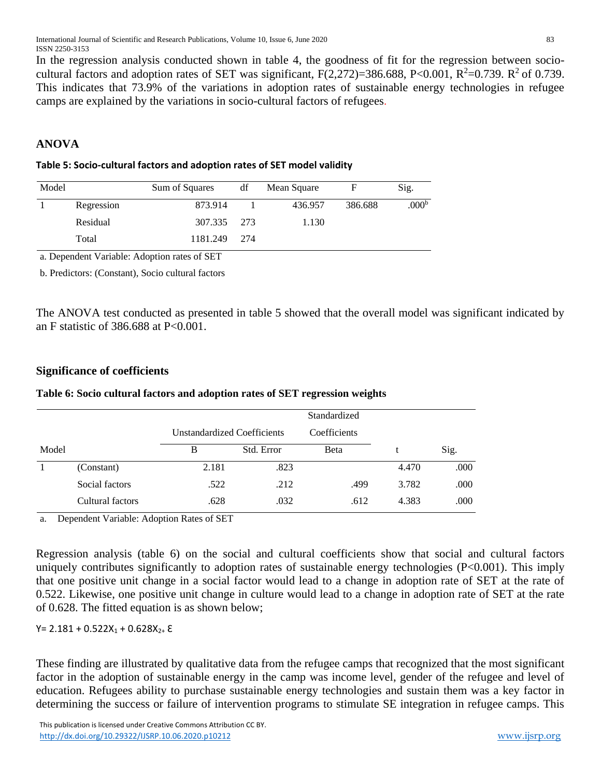In the regression analysis conducted shown in table 4, the goodness of fit for the regression between sociocultural factors and adoption rates of SET was significant,  $F(2,272)=386.688$ , P<0.001, R<sup>2</sup>=0.739. R<sup>2</sup> of 0.739. This indicates that 73.9% of the variations in adoption rates of sustainable energy technologies in refugee camps are explained by the variations in socio-cultural factors of refugees.

## **ANOVA**

#### **Table 5: Socio-cultural factors and adoption rates of SET model validity**

| Sum of Squares | df         | Mean Square |         | Sig.              |
|----------------|------------|-------------|---------|-------------------|
| 873.914        |            | 436.957     | 386.688 | .000 <sup>b</sup> |
|                |            | 1.130       |         |                   |
| 1181.249       | 274        |             |         |                   |
| Residual       | Regression | 307.335 273 |         |                   |

a. Dependent Variable: Adoption rates of SET

b. Predictors: (Constant), Socio cultural factors

The ANOVA test conducted as presented in table 5 showed that the overall model was significant indicated by an F statistic of 386.688 at P<0.001.

### **Significance of coefficients**

|       |                  |                                    |              | Standardized |       |      |  |
|-------|------------------|------------------------------------|--------------|--------------|-------|------|--|
|       |                  | <b>Unstandardized Coefficients</b> | Coefficients |              |       |      |  |
| Model |                  | B                                  | Std. Error   | <b>B</b> eta |       | Sig. |  |
|       | (Constant)       | 2.181                              | .823         |              | 4.470 | .000 |  |
|       | Social factors   | .522                               | .212         | .499         | 3.782 | .000 |  |
|       | Cultural factors | .628                               | .032         | .612         | 4.383 | .000 |  |

#### **Table 6: Socio cultural factors and adoption rates of SET regression weights**

a. Dependent Variable: Adoption Rates of SET

Regression analysis (table 6) on the social and cultural coefficients show that social and cultural factors uniquely contributes significantly to adoption rates of sustainable energy technologies (P<0.001). This imply that one positive unit change in a social factor would lead to a change in adoption rate of SET at the rate of 0.522. Likewise, one positive unit change in culture would lead to a change in adoption rate of SET at the rate of 0.628. The fitted equation is as shown below;

#### $Y= 2.181 + 0.522X_1 + 0.628X_2 + E$

These finding are illustrated by qualitative data from the refugee camps that recognized that the most significant factor in the adoption of sustainable energy in the camp was income level, gender of the refugee and level of education. Refugees ability to purchase sustainable energy technologies and sustain them was a key factor in determining the success or failure of intervention programs to stimulate SE integration in refugee camps. This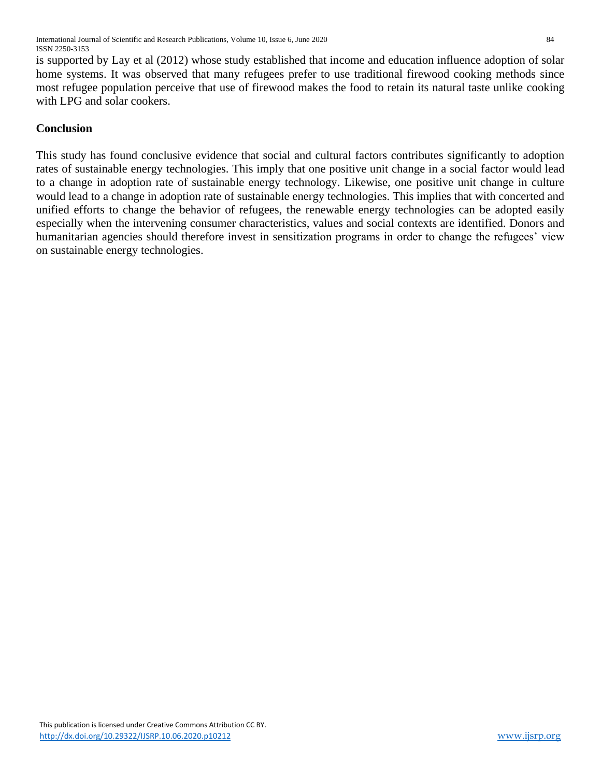is supported by Lay et al (2012) whose study established that income and education influence adoption of solar home systems. It was observed that many refugees prefer to use traditional firewood cooking methods since most refugee population perceive that use of firewood makes the food to retain its natural taste unlike cooking with LPG and solar cookers.

### **Conclusion**

This study has found conclusive evidence that social and cultural factors contributes significantly to adoption rates of sustainable energy technologies. This imply that one positive unit change in a social factor would lead to a change in adoption rate of sustainable energy technology. Likewise, one positive unit change in culture would lead to a change in adoption rate of sustainable energy technologies. This implies that with concerted and unified efforts to change the behavior of refugees, the renewable energy technologies can be adopted easily especially when the intervening consumer characteristics, values and social contexts are identified. Donors and humanitarian agencies should therefore invest in sensitization programs in order to change the refugees' view on sustainable energy technologies.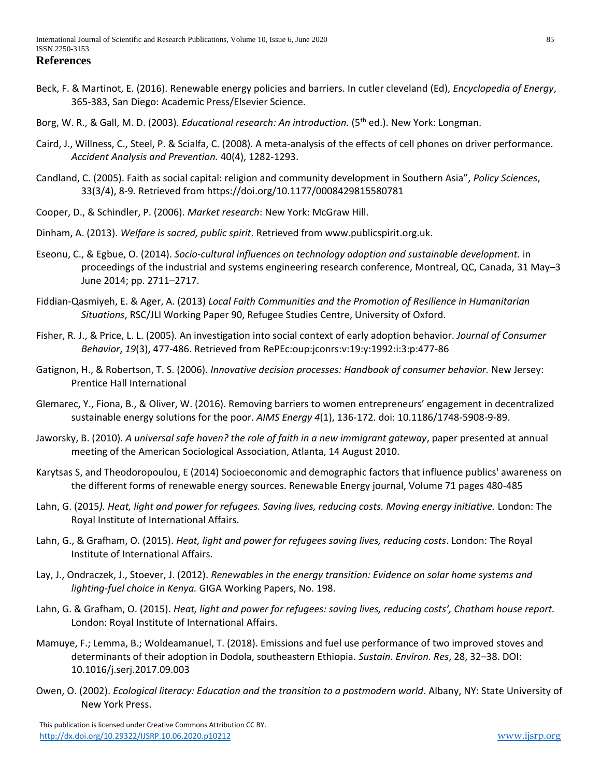- Beck, F. & Martinot, E. (2016). Renewable energy policies and barriers. In cutler cleveland (Ed), *Encyclopedia of Energy*, 365-383, San Diego: Academic Press/Elsevier Science.
- Borg, W. R., & Gall, M. D. (2003). *Educational research: An introduction.* (5<sup>th</sup> ed.). New York: Longman.
- Caird, J., Willness, C., Steel, P. & Scialfa, C. (2008). A meta-analysis of the effects of cell phones on driver performance. *Accident Analysis and Prevention.* 40(4), 1282-1293.
- Candland, C. (2005). Faith as social capital: religion and community development in Southern Asia", *Policy Sciences*, 33(3/4), 8-9. Retrieved from<https://doi.org/10.1177/0008429815580781>
- Cooper, D., & Schindler, P. (2006). *Market research*: New York: McGraw Hill.
- Dinham, A. (2013). *Welfare is sacred, public spirit*. Retrieved from [www.publicspirit.org.uk.](http://www.publicspirit.org.uk/)
- Eseonu, C., & Egbue, O. (2014). *Socio-cultural influences on technology adoption and sustainable development.* in proceedings of the industrial and systems engineering research conference, Montreal, QC, Canada, 31 May–3 June 2014; pp. 2711–2717.
- Fiddian-Qasmiyeh, E. & Ager, A. (2013) *Local Faith Communities and the Promotion of Resilience in Humanitarian Situations*, RSC/JLI Working Paper 90, Refugee Studies Centre, University of Oxford.
- Fisher, R. J., & Price, L. L. (2005). An investigation into social context of early adoption behavior. *Journal of Consumer Behavior*, *19*(3), 477-486. Retrieved from RePEc:oup:jconrs:v:19:y:1992:i:3:p:477-86
- Gatignon, H., & Robertson, T. S. (2006). *Innovative decision processes: Handbook of consumer behavior.* New Jersey: Prentice Hall International
- Glemarec, Y., Fiona, B., & Oliver, W. (2016). Removing barriers to women entrepreneurs' engagement in decentralized sustainable energy solutions for the poor. *AIMS Energy 4*(1), 136-172. doi: 10.1186/1748-5908-9-89.
- Jaworsky, B. (2010). *A universal safe haven? the role of faith in a new immigrant gateway*, paper presented at annual meeting of the American Sociological Association, Atlanta, 14 August 2010.
- Karytsas S, and Theodoropoulou, E (2014) Socioeconomic and demographic factors that influence publics' awareness on the different forms of renewable energy sources. Renewable Energy journal, Volume 71 pages 480-485
- Lahn, G. (2015*). Heat, light and power for refugees. Saving lives, reducing costs. Moving energy initiative.* London: The Royal Institute of International Affairs.
- Lahn, G., & Grafham, O. (2015). *Heat, light and power for refugees saving lives, reducing costs*. London: The Royal Institute of International Affairs.
- Lay, J., Ondraczek, J., Stoever, J. (2012). *Renewables in the energy transition: Evidence on solar home systems and lighting-fuel choice in Kenya.* GIGA Working Papers, No. 198.
- Lahn, G. & Grafham, O. (2015). *Heat, light and power for refugees: saving lives, reducing costs', Chatham house report.* London: Royal Institute of International Affairs.
- Mamuye, F.; Lemma, B.; Woldeamanuel, T. (2018). Emissions and fuel use performance of two improved stoves and determinants of their adoption in Dodola, southeastern Ethiopia. *Sustain. Environ. Res*, 28, 32–38. DOI: 10.1016/j.serj.2017.09.003
- Owen, O. (2002). *Ecological literacy: Education and the transition to a postmodern world*. Albany, NY: State University of New York Press.